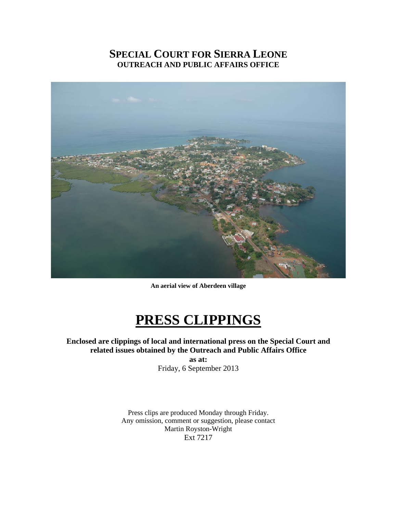# **SPECIAL COURT FOR SIERRA LEONE OUTREACH AND PUBLIC AFFAIRS OFFICE**



**An aerial view of Aberdeen village**

# **PRESS CLIPPINGS**

**Enclosed are clippings of local and international press on the Special Court and related issues obtained by the Outreach and Public Affairs Office** 

**as at:**  Friday, 6 September 2013

Press clips are produced Monday through Friday. Any omission, comment or suggestion, please contact Martin Royston-Wright Ext 7217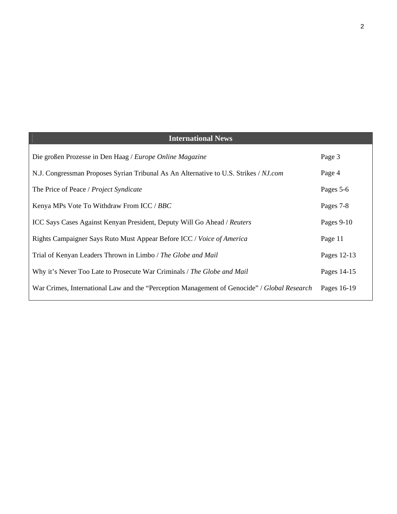| <b>International News</b>                                                                   |             |
|---------------------------------------------------------------------------------------------|-------------|
| Die großen Prozesse in Den Haag / Europe Online Magazine                                    | Page 3      |
| N.J. Congressman Proposes Syrian Tribunal As An Alternative to U.S. Strikes / NJ.com        | Page 4      |
| The Price of Peace / <i>Project Syndicate</i>                                               | Pages 5-6   |
| Kenya MPs Vote To Withdraw From ICC / BBC                                                   | Pages 7-8   |
| ICC Says Cases Against Kenyan President, Deputy Will Go Ahead / Reuters                     | Pages 9-10  |
| Rights Campaigner Says Ruto Must Appear Before ICC / Voice of America                       | Page 11     |
| Trial of Kenyan Leaders Thrown in Limbo / The Globe and Mail                                | Pages 12-13 |
| Why it's Never Too Late to Prosecute War Criminals / The Globe and Mail                     | Pages 14-15 |
| War Crimes, International Law and the "Perception Management of Genocide" / Global Research | Pages 16-19 |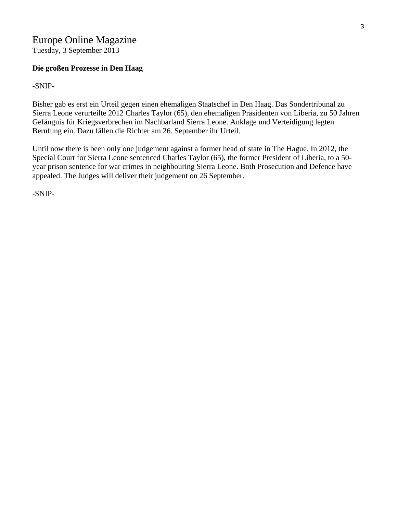# Europe Online Magazine

Tuesday, 3 September 2013

## **Die großen Prozesse in Den Haag**

-SNIP-

Bisher gab es erst ein Urteil gegen einen ehemaligen Staatschef in Den Haag. Das Sondertribunal zu Sierra Leone verurteilte 2012 Charles Taylor (65), den ehemaligen Präsidenten von Liberia, zu 50 Jahren Gefängnis für Kriegsverbrechen im Nachbarland Sierra Leone. Anklage und Verteidigung legten Berufung ein. Dazu fällen die Richter am 26. September ihr Urteil.

Until now there is been only one judgement against a former head of state in The Hague. In 2012, the Special Court for Sierra Leone sentenced Charles Taylor (65), the former President of Liberia, to a 50 year prison sentence for war crimes in neighbouring Sierra Leone. Both Prosecution and Defence have appealed. The Judges will deliver their judgement on 26 September.

-SNIP-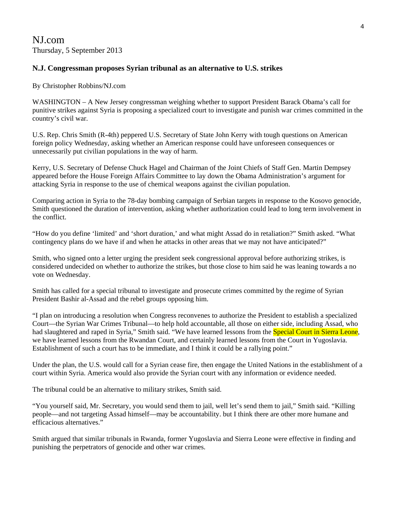# NJ.com Thursday, 5 September 2013

#### **N.J. Congressman proposes Syrian tribunal as an alternative to U.S. strikes**

#### By Christopher Robbins/NJ.com

WASHINGTON – A New Jersey congressman weighing whether to support President Barack Obama's call for punitive strikes against Syria is proposing a specialized court to investigate and punish war crimes committed in the country's civil war.

U.S. Rep. Chris Smith (R-4th) peppered U.S. Secretary of State John Kerry with tough questions on American foreign policy Wednesday, asking whether an American response could have unforeseen consequences or unnecessarily put civilian populations in the way of harm.

Kerry, U.S. Secretary of Defense Chuck Hagel and Chairman of the Joint Chiefs of Staff Gen. Martin Dempsey appeared before the House Foreign Affairs Committee to lay down the Obama Administration's argument for attacking Syria in response to the use of chemical weapons against the civilian population.

Comparing action in Syria to the 78-day bombing campaign of Serbian targets in response to the Kosovo genocide, Smith questioned the duration of intervention, asking whether authorization could lead to long term involvement in the conflict.

"How do you define 'limited' and 'short duration,' and what might Assad do in retaliation?" Smith asked. "What contingency plans do we have if and when he attacks in other areas that we may not have anticipated?"

Smith, who signed onto a letter urging the president seek congressional approval before authorizing strikes, is considered undecided on whether to authorize the strikes, but those close to him said he was leaning towards a no vote on Wednesday.

Smith has called for a special tribunal to investigate and prosecute crimes committed by the regime of Syrian President Bashir al-Assad and the rebel groups opposing him.

"I plan on introducing a resolution when Congress reconvenes to authorize the President to establish a specialized Court—the Syrian War Crimes Tribunal—to help hold accountable, all those on either side, including Assad, who had slaughtered and raped in Syria," Smith said. "We have learned lessons from the **Special Court in Sierra Leone**, we have learned lessons from the Rwandan Court, and certainly learned lessons from the Court in Yugoslavia. Establishment of such a court has to be immediate, and I think it could be a rallying point."

Under the plan, the U.S. would call for a Syrian cease fire, then engage the United Nations in the establishment of a court within Syria. America would also provide the Syrian court with any information or evidence needed.

The tribunal could be an alternative to military strikes, Smith said.

"You yourself said, Mr. Secretary, you would send them to jail, well let's send them to jail," Smith said. "Killing people—and not targeting Assad himself—may be accountability. but I think there are other more humane and efficacious alternatives."

Smith argued that similar tribunals in Rwanda, former Yugoslavia and Sierra Leone were effective in finding and punishing the perpetrators of genocide and other war crimes.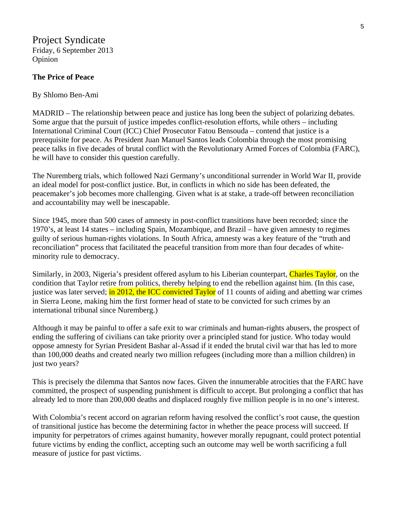Project Syndicate Friday, 6 September 2013 Opinion

#### **The Price of Peace**

#### By Shlomo Ben-Ami

MADRID – The relationship between peace and justice has long been the subject of polarizing debates. Some argue that the pursuit of justice impedes conflict-resolution efforts, while others – including International Criminal Court (ICC) Chief Prosecutor Fatou Bensouda – contend that justice is a prerequisite for peace. As President Juan Manuel Santos leads Colombia through the most promising peace talks in five decades of brutal conflict with the Revolutionary Armed Forces of Colombia (FARC), he will have to consider this question carefully.

The Nuremberg trials, which followed Nazi Germany's unconditional surrender in World War II, provide an ideal model for post-conflict justice. But, in conflicts in which no side has been defeated, the peacemaker's job becomes more challenging. Given what is at stake, a trade-off between reconciliation and accountability may well be inescapable.

Since 1945, more than 500 cases of amnesty in post-conflict transitions have been recorded; since the 1970's, at least 14 states – including Spain, Mozambique, and Brazil – have given amnesty to regimes guilty of serious human-rights violations. In South Africa, amnesty was a key feature of the "truth and reconciliation" process that facilitated the peaceful transition from more than four decades of whiteminority rule to democracy.

Similarly, in 2003, Nigeria's president offered asylum to his Liberian counterpart, Charles Taylor, on the condition that Taylor retire from politics, thereby helping to end the rebellion against him. (In this case, justice was later served; in 2012, the ICC convicted Taylor of 11 counts of aiding and abetting war crimes in Sierra Leone, making him the first former head of state to be convicted for such crimes by an international tribunal since Nuremberg.)

Although it may be painful to offer a safe exit to war criminals and human-rights abusers, the prospect of ending the suffering of civilians can take priority over a principled stand for justice. Who today would oppose amnesty for Syrian President Bashar al-Assad if it ended the brutal civil war that has led to more than 100,000 deaths and created nearly two million refugees (including more than a million children) in just two years?

This is precisely the dilemma that Santos now faces. Given the innumerable atrocities that the FARC have committed, the prospect of suspending punishment is difficult to accept. But prolonging a conflict that has already led to more than 200,000 deaths and displaced roughly five million people is in no one's interest.

With Colombia's recent accord on agrarian reform having resolved the conflict's root cause, the question of transitional justice has become the determining factor in whether the peace process will succeed. If impunity for perpetrators of crimes against humanity, however morally repugnant, could protect potential future victims by ending the conflict, accepting such an outcome may well be worth sacrificing a full measure of justice for past victims.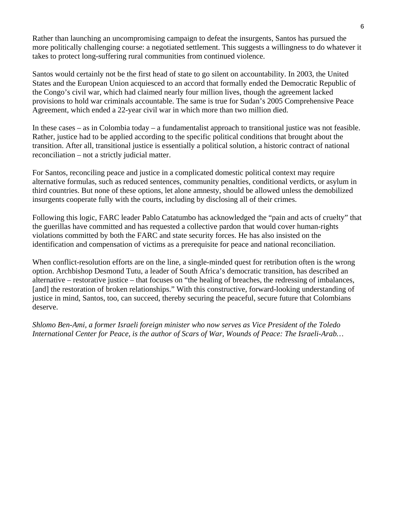Rather than launching an uncompromising campaign to defeat the insurgents, Santos has pursued the more politically challenging course: a negotiated settlement. This suggests a willingness to do whatever it takes to protect long-suffering rural communities from continued violence.

Santos would certainly not be the first head of state to go silent on accountability. In 2003, the United States and the European Union acquiesced to an accord that formally ended the Democratic Republic of the Congo's civil war, which had claimed nearly four million lives, though the agreement lacked provisions to hold war criminals accountable. The same is true for Sudan's 2005 Comprehensive Peace Agreement, which ended a 22-year civil war in which more than two million died.

In these cases – as in Colombia today – a fundamentalist approach to transitional justice was not feasible. Rather, justice had to be applied according to the specific political conditions that brought about the transition. After all, transitional justice is essentially a political solution, a historic contract of national reconciliation – not a strictly judicial matter.

For Santos, reconciling peace and justice in a complicated domestic political context may require alternative formulas, such as reduced sentences, community penalties, conditional verdicts, or asylum in third countries. But none of these options, let alone amnesty, should be allowed unless the demobilized insurgents cooperate fully with the courts, including by disclosing all of their crimes.

Following this logic, FARC leader Pablo Catatumbo has acknowledged the "pain and acts of cruelty" that the guerillas have committed and has requested a collective pardon that would cover human-rights violations committed by both the FARC and state security forces. He has also insisted on the identification and compensation of victims as a prerequisite for peace and national reconciliation.

When conflict-resolution efforts are on the line, a single-minded quest for retribution often is the wrong option. Archbishop Desmond Tutu, a leader of South Africa's democratic transition, has described an alternative – restorative justice – that focuses on "the healing of breaches, the redressing of imbalances, [and] the restoration of broken relationships." With this constructive, forward-looking understanding of justice in mind, Santos, too, can succeed, thereby securing the peaceful, secure future that Colombians deserve.

*Shlomo Ben-Ami, a former Israeli foreign minister who now serves as Vice President of the Toledo International Center for Peace, is the author of Scars of War, Wounds of Peace: The Israeli-Arab…*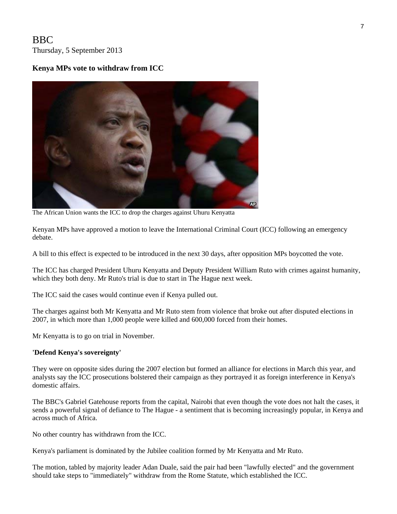# BBC Thursday, 5 September 2013

# **Kenya MPs vote to withdraw from ICC**



The African Union wants the ICC to drop the charges against Uhuru Kenyatta

Kenyan MPs have approved a motion to leave the International Criminal Court (ICC) following an emergency debate.

A bill to this effect is expected to be introduced in the next 30 days, after opposition MPs boycotted the vote.

The ICC has charged President Uhuru Kenyatta and Deputy President William Ruto with crimes against humanity, which they both deny. Mr Ruto's trial is due to start in The Hague next week.

The ICC said the cases would continue even if Kenya pulled out.

The charges against both Mr Kenyatta and Mr Ruto stem from violence that broke out after disputed elections in 2007, in which more than 1,000 people were killed and 600,000 forced from their homes.

Mr Kenyatta is to go on trial in November.

#### **'Defend Kenya's sovereignty'**

They were on opposite sides during the 2007 election but formed an alliance for elections in March this year, and analysts say the ICC prosecutions bolstered their campaign as they portrayed it as foreign interference in Kenya's domestic affairs.

The BBC's Gabriel Gatehouse reports from the capital, Nairobi that even though the vote does not halt the cases, it sends a powerful signal of defiance to The Hague - a sentiment that is becoming increasingly popular, in Kenya and across much of Africa.

No other country has withdrawn from the ICC.

Kenya's parliament is dominated by the Jubilee coalition formed by Mr Kenyatta and Mr Ruto.

The motion, tabled by majority leader Adan Duale, said the pair had been "lawfully elected" and the government should take steps to "immediately" withdraw from the Rome Statute, which established the ICC.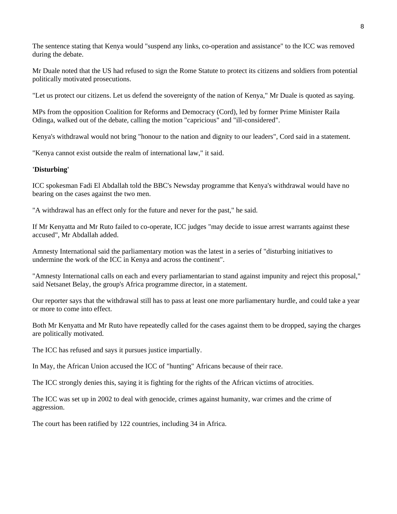The sentence stating that Kenya would "suspend any links, co-operation and assistance" to the ICC was removed during the debate.

Mr Duale noted that the US had refused to sign the Rome Statute to protect its citizens and soldiers from potential politically motivated prosecutions.

"Let us protect our citizens. Let us defend the sovereignty of the nation of Kenya," Mr Duale is quoted as saying.

MPs from the opposition Coalition for Reforms and Democracy (Cord), led by former Prime Minister Raila Odinga, walked out of the debate, calling the motion "capricious" and "ill-considered".

Kenya's withdrawal would not bring "honour to the nation and dignity to our leaders", Cord said in a statement.

"Kenya cannot exist outside the realm of international law," it said.

#### **'Disturbing'**

ICC spokesman Fadi El Abdallah told the BBC's Newsday programme that Kenya's withdrawal would have no bearing on the cases against the two men.

"A withdrawal has an effect only for the future and never for the past," he said.

If Mr Kenyatta and Mr Ruto failed to co-operate, ICC judges "may decide to issue arrest warrants against these accused", Mr Abdallah added.

Amnesty International said the parliamentary motion was the latest in a series of "disturbing initiatives to undermine the work of the ICC in Kenya and across the continent".

"Amnesty International calls on each and every parliamentarian to stand against impunity and reject this proposal," said Netsanet Belay, the group's Africa programme director, in a statement.

Our reporter says that the withdrawal still has to pass at least one more parliamentary hurdle, and could take a year or more to come into effect.

Both Mr Kenyatta and Mr Ruto have repeatedly called for the cases against them to be dropped, saying the charges are politically motivated.

The ICC has refused and says it pursues justice impartially.

In May, the African Union accused the ICC of "hunting" Africans because of their race.

The ICC strongly denies this, saying it is fighting for the rights of the African victims of atrocities.

The ICC was set up in 2002 to deal with genocide, crimes against humanity, war crimes and the crime of aggression.

The court has been ratified by 122 countries, including 34 in Africa.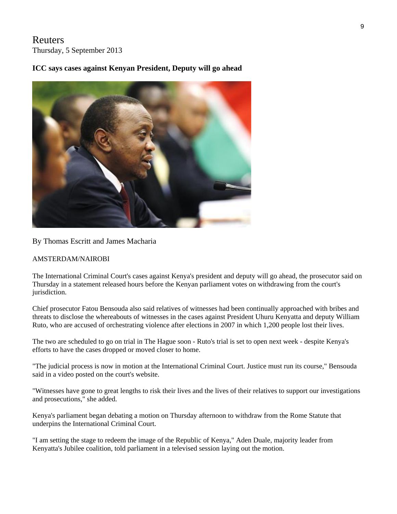# Reuters Thursday, 5 September 2013

### **ICC says cases against Kenyan President, Deputy will go ahead**



#### By Thomas Escritt and James Macharia

#### AMSTERDAM/NAIROBI

The International Criminal Court's cases against Kenya's president and deputy will go ahead, the prosecutor said on Thursday in a statement released hours before the Kenyan parliament votes on withdrawing from the court's jurisdiction.

Chief prosecutor Fatou Bensouda also said relatives of witnesses had been continually approached with bribes and threats to disclose the whereabouts of witnesses in the cases against President Uhuru Kenyatta and deputy William Ruto, who are accused of orchestrating violence after elections in 2007 in which 1,200 people lost their lives.

The two are scheduled to go on trial in The Hague soon - Ruto's trial is set to open next week - despite Kenya's efforts to have the cases dropped or moved closer to home.

"The judicial process is now in motion at the International Criminal Court. Justice must run its course," Bensouda said in a video posted on the court's website.

"Witnesses have gone to great lengths to risk their lives and the lives of their relatives to support our investigations and prosecutions," she added.

Kenya's parliament began debating a motion on Thursday afternoon to withdraw from the Rome Statute that underpins the International Criminal Court.

"I am setting the stage to redeem the image of the Republic of Kenya," Aden Duale, majority leader from Kenyatta's Jubilee coalition, told parliament in a televised session laying out the motion.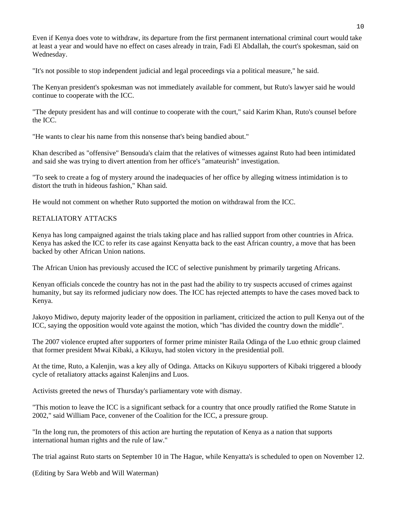Even if Kenya does vote to withdraw, its departure from the first permanent international criminal court would take at least a year and would have no effect on cases already in train, Fadi El Abdallah, the court's spokesman, said on Wednesday.

"It's not possible to stop independent judicial and legal proceedings via a political measure," he said.

The Kenyan president's spokesman was not immediately available for comment, but Ruto's lawyer said he would continue to cooperate with the ICC.

"The deputy president has and will continue to cooperate with the court," said Karim Khan, Ruto's counsel before the ICC.

"He wants to clear his name from this nonsense that's being bandied about."

Khan described as "offensive" Bensouda's claim that the relatives of witnesses against Ruto had been intimidated and said she was trying to divert attention from her office's "amateurish" investigation.

"To seek to create a fog of mystery around the inadequacies of her office by alleging witness intimidation is to distort the truth in hideous fashion," Khan said.

He would not comment on whether Ruto supported the motion on withdrawal from the ICC.

#### RETALIATORY ATTACKS

Kenya has long campaigned against the trials taking place and has rallied support from other countries in Africa. Kenya has asked the ICC to refer its case against Kenyatta back to the east African country, a move that has been backed by other African Union nations.

The African Union has previously accused the ICC of selective punishment by primarily targeting Africans.

Kenyan officials concede the country has not in the past had the ability to try suspects accused of crimes against humanity, but say its reformed judiciary now does. The ICC has rejected attempts to have the cases moved back to Kenya.

Jakoyo Midiwo, deputy majority leader of the opposition in parliament, criticized the action to pull Kenya out of the ICC, saying the opposition would vote against the motion, which "has divided the country down the middle".

The 2007 violence erupted after supporters of former prime minister Raila Odinga of the Luo ethnic group claimed that former president Mwai Kibaki, a Kikuyu, had stolen victory in the presidential poll.

At the time, Ruto, a Kalenjin, was a key ally of Odinga. Attacks on Kikuyu supporters of Kibaki triggered a bloody cycle of retaliatory attacks against Kalenjins and Luos.

Activists greeted the news of Thursday's parliamentary vote with dismay.

"This motion to leave the ICC is a significant setback for a country that once proudly ratified the Rome Statute in 2002," said William Pace, convener of the Coalition for the ICC, a pressure group.

"In the long run, the promoters of this action are hurting the reputation of Kenya as a nation that supports international human rights and the rule of law."

The trial against Ruto starts on September 10 in The Hague, while Kenyatta's is scheduled to open on November 12.

(Editing by Sara Webb and Will Waterman)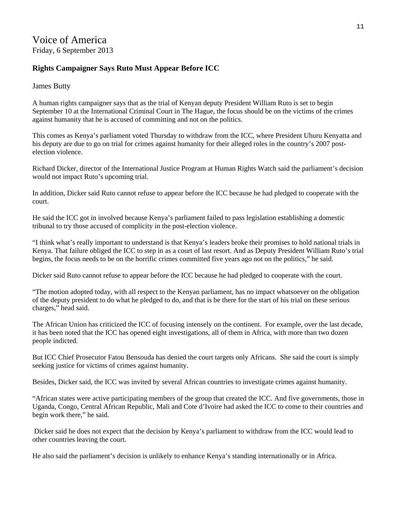## **Rights Campaigner Says Ruto Must Appear Before ICC**

James Butty

A human rights campaigner says that as the trial of Kenyan deputy President William Ruto is set to begin September 10 at the International Criminal Court in The Hague, the focus should be on the victims of the crimes against humanity that he is accused of committing and not on the politics.

This comes as Kenya's parliament voted Thursday to withdraw from the ICC, where President Uhuru Kenyatta and his deputy are due to go on trial for crimes against humanity for their alleged roles in the country's 2007 postelection violence.

Richard Dicker, director of the International Justice Program at Human Rights Watch said the parliament's decision would not impact Ruto's upcoming trial.

In addition, Dicker said Ruto cannot refuse to appear before the ICC because he had pledged to cooperate with the court.

He said the ICC got in involved because Kenya's parliament failed to pass legislation establishing a domestic tribunal to try those accused of complicity in the post-election violence.

"I think what's really important to understand is that Kenya's leaders broke their promises to hold national trials in Kenya. That failure obliged the ICC to step in as a court of last resort. And as Deputy President William Ruto's trial begins, the focus needs to be on the horrific crimes committed five years ago not on the politics," he said.

Dicker said Ruto cannot refuse to appear before the ICC because he had pledged to cooperate with the court.

"The motion adopted today, with all respect to the Kenyan parliament, has no impact whatsoever on the obligation of the deputy president to do what he pledged to do, and that is be there for the start of his trial on these serious charges," head said.

The African Union has criticized the ICC of focusing intensely on the continent. For example, over the last decade, it has been noted that the ICC has opened eight investigations, all of them in Africa, with more than two dozen people indicted.

But ICC Chief Prosecutor Fatou Bensouda has denied the court targets only Africans. She said the court is simply seeking justice for victims of crimes against humanity.

Besides, Dicker said, the ICC was invited by several African countries to investigate crimes against humanity.

"African states were active participating members of the group that created the ICC. And five governments, those in Uganda, Congo, Central African Republic, Mali and Cote d'Ivoire had asked the ICC to come to their countries and begin work there," he said.

 Dicker said he does not expect that the decision by Kenya's parliament to withdraw from the ICC would lead to other countries leaving the court.

He also said the parliament's decision is unlikely to enhance Kenya's standing internationally or in Africa.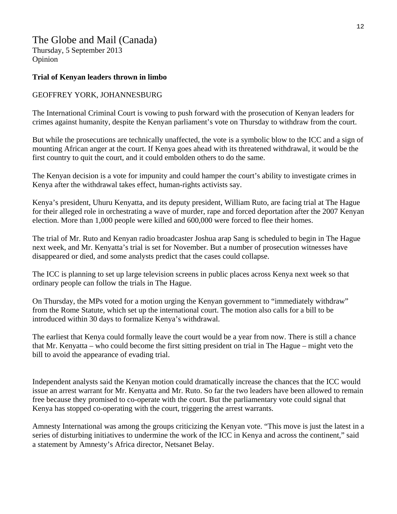# The Globe and Mail (Canada)

Thursday, 5 September 2013 Opinion

#### **Trial of Kenyan leaders thrown in limbo**

#### GEOFFREY YORK, JOHANNESBURG

The International Criminal Court is vowing to push forward with the prosecution of Kenyan leaders for crimes against humanity, despite the Kenyan parliament's vote on Thursday to withdraw from the court.

But while the prosecutions are technically unaffected, the vote is a symbolic blow to the ICC and a sign of mounting African anger at the court. If Kenya goes ahead with its threatened withdrawal, it would be the first country to quit the court, and it could embolden others to do the same.

The Kenyan decision is a vote for impunity and could hamper the court's ability to investigate crimes in Kenya after the withdrawal takes effect, human-rights activists say.

Kenya's president, Uhuru Kenyatta, and its deputy president, William Ruto, are facing trial at The Hague for their alleged role in orchestrating a wave of murder, rape and forced deportation after the 2007 Kenyan election. More than 1,000 people were killed and 600,000 were forced to flee their homes.

The trial of Mr. Ruto and Kenyan radio broadcaster Joshua arap Sang is scheduled to begin in The Hague next week, and Mr. Kenyatta's trial is set for November. But a number of prosecution witnesses have disappeared or died, and some analysts predict that the cases could collapse.

The ICC is planning to set up large television screens in public places across Kenya next week so that ordinary people can follow the trials in The Hague.

On Thursday, the MPs voted for a motion urging the Kenyan government to "immediately withdraw" from the Rome Statute, which set up the international court. The motion also calls for a bill to be introduced within 30 days to formalize Kenya's withdrawal.

The earliest that Kenya could formally leave the court would be a year from now. There is still a chance that Mr. Kenyatta – who could become the first sitting president on trial in The Hague – might veto the bill to avoid the appearance of evading trial.

Independent analysts said the Kenyan motion could dramatically increase the chances that the ICC would issue an arrest warrant for Mr. Kenyatta and Mr. Ruto. So far the two leaders have been allowed to remain free because they promised to co-operate with the court. But the parliamentary vote could signal that Kenya has stopped co-operating with the court, triggering the arrest warrants.

Amnesty International was among the groups criticizing the Kenyan vote. "This move is just the latest in a series of disturbing initiatives to undermine the work of the ICC in Kenya and across the continent," said a statement by Amnesty's Africa director, Netsanet Belay.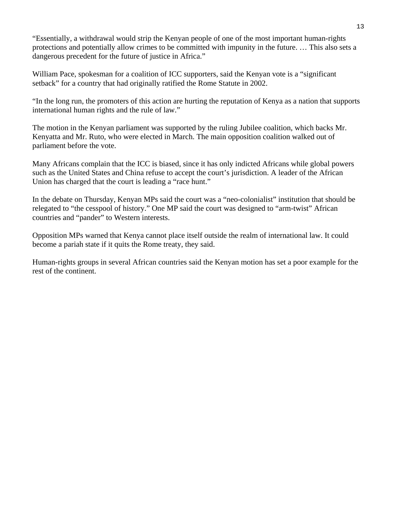"Essentially, a withdrawal would strip the Kenyan people of one of the most important human-rights protections and potentially allow crimes to be committed with impunity in the future. … This also sets a dangerous precedent for the future of justice in Africa."

William Pace, spokesman for a coalition of ICC supporters, said the Kenyan vote is a "significant" setback" for a country that had originally ratified the Rome Statute in 2002.

"In the long run, the promoters of this action are hurting the reputation of Kenya as a nation that supports international human rights and the rule of law."

The motion in the Kenyan parliament was supported by the ruling Jubilee coalition, which backs Mr. Kenyatta and Mr. Ruto, who were elected in March. The main opposition coalition walked out of parliament before the vote.

Many Africans complain that the ICC is biased, since it has only indicted Africans while global powers such as the United States and China refuse to accept the court's jurisdiction. A leader of the African Union has charged that the court is leading a "race hunt."

In the debate on Thursday, Kenyan MPs said the court was a "neo-colonialist" institution that should be relegated to "the cesspool of history." One MP said the court was designed to "arm-twist" African countries and "pander" to Western interests.

Opposition MPs warned that Kenya cannot place itself outside the realm of international law. It could become a pariah state if it quits the Rome treaty, they said.

Human-rights groups in several African countries said the Kenyan motion has set a poor example for the rest of the continent.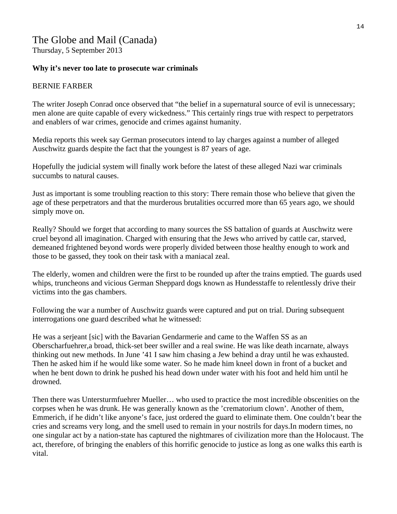# The Globe and Mail (Canada)

Thursday, 5 September 2013

### **Why it's never too late to prosecute war criminals**

### BERNIE FARBER

The writer Joseph Conrad once observed that "the belief in a supernatural source of evil is unnecessary; men alone are quite capable of every wickedness." This certainly rings true with respect to perpetrators and enablers of war crimes, genocide and crimes against humanity.

Media reports this week say German prosecutors intend to lay charges against a number of alleged Auschwitz guards despite the fact that the youngest is 87 years of age.

Hopefully the judicial system will finally work before the latest of these alleged Nazi war criminals succumbs to natural causes.

Just as important is some troubling reaction to this story: There remain those who believe that given the age of these perpetrators and that the murderous brutalities occurred more than 65 years ago, we should simply move on.

Really? Should we forget that according to many sources the SS battalion of guards at Auschwitz were cruel beyond all imagination. Charged with ensuring that the Jews who arrived by cattle car, starved, demeaned frightened beyond words were properly divided between those healthy enough to work and those to be gassed, they took on their task with a maniacal zeal.

The elderly, women and children were the first to be rounded up after the trains emptied. The guards used whips, truncheons and vicious German Sheppard dogs known as Hundesstaffe to relentlessly drive their victims into the gas chambers.

Following the war a number of Auschwitz guards were captured and put on trial. During subsequent interrogations one guard described what he witnessed:

He was a serjeant [sic] with the Bavarian Gendarmerie and came to the Waffen SS as an Oberscharfuehrer,a broad, thick-set beer swiller and a real swine. He was like death incarnate, always thinking out new methods. In June '41 I saw him chasing a Jew behind a dray until he was exhausted. Then he asked him if he would like some water. So he made him kneel down in front of a bucket and when he bent down to drink he pushed his head down under water with his foot and held him until he drowned.

Then there was Untersturmfuehrer Mueller… who used to practice the most incredible obscenities on the corpses when he was drunk. He was generally known as the 'crematorium clown'. Another of them, Emmerich, if he didn't like anyone's face, just ordered the guard to eliminate them. One couldn't bear the cries and screams very long, and the smell used to remain in your nostrils for days.In modern times, no one singular act by a nation-state has captured the nightmares of civilization more than the Holocaust. The act, therefore, of bringing the enablers of this horrific genocide to justice as long as one walks this earth is vital.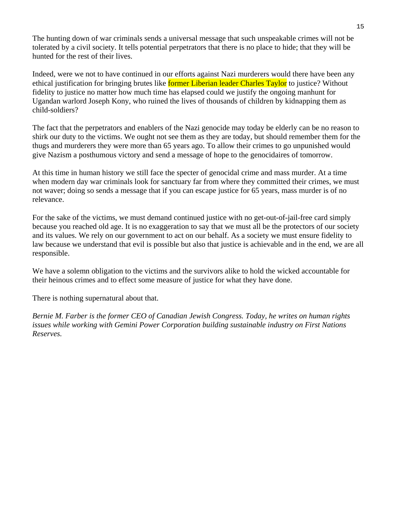The hunting down of war criminals sends a universal message that such unspeakable crimes will not be tolerated by a civil society. It tells potential perpetrators that there is no place to hide; that they will be hunted for the rest of their lives.

Indeed, were we not to have continued in our efforts against Nazi murderers would there have been any ethical justification for bringing brutes like former Liberian leader Charles Taylor to justice? Without fidelity to justice no matter how much time has elapsed could we justify the ongoing manhunt for Ugandan warlord Joseph Kony, who ruined the lives of thousands of children by kidnapping them as child-soldiers?

The fact that the perpetrators and enablers of the Nazi genocide may today be elderly can be no reason to shirk our duty to the victims. We ought not see them as they are today, but should remember them for the thugs and murderers they were more than 65 years ago. To allow their crimes to go unpunished would give Nazism a posthumous victory and send a message of hope to the genocidaires of tomorrow.

At this time in human history we still face the specter of genocidal crime and mass murder. At a time when modern day war criminals look for sanctuary far from where they committed their crimes, we must not waver; doing so sends a message that if you can escape justice for 65 years, mass murder is of no relevance.

For the sake of the victims, we must demand continued justice with no get-out-of-jail-free card simply because you reached old age. It is no exaggeration to say that we must all be the protectors of our society and its values. We rely on our government to act on our behalf. As a society we must ensure fidelity to law because we understand that evil is possible but also that justice is achievable and in the end, we are all responsible.

We have a solemn obligation to the victims and the survivors alike to hold the wicked accountable for their heinous crimes and to effect some measure of justice for what they have done.

There is nothing supernatural about that.

*Bernie M. Farber is the former CEO of Canadian Jewish Congress. Today, he writes on human rights issues while working with Gemini Power Corporation building sustainable industry on First Nations Reserves.*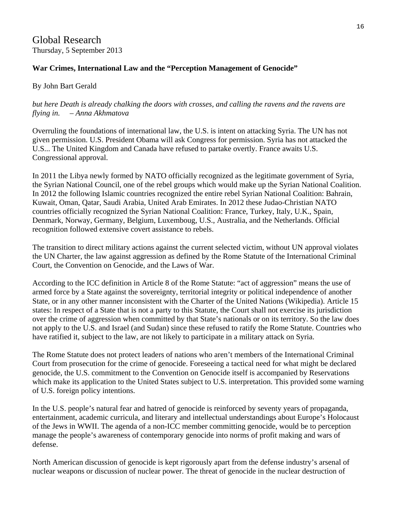Global Research Thursday, 5 September 2013

## **War Crimes, International Law and the "Perception Management of Genocide"**

By John Bart Gerald

*but here Death is already chalking the doors with crosses, and calling the ravens and the ravens are flying in. – Anna Akhmatova* 

Overruling the foundations of international law, the U.S. is intent on attacking Syria. The UN has not given permission. U.S. President Obama will ask Congress for permission. Syria has not attacked the U.S... The United Kingdom and Canada have refused to partake overtly. France awaits U.S. Congressional approval.

In 2011 the Libya newly formed by NATO officially recognized as the legitimate government of Syria, the Syrian National Council, one of the rebel groups which would make up the Syrian National Coalition. In 2012 the following Islamic countries recognized the entire rebel Syrian National Coalition: Bahrain, Kuwait, Oman, Qatar, Saudi Arabia, United Arab Emirates. In 2012 these Judao-Christian NATO countries officially recognized the Syrian National Coalition: France, Turkey, Italy, U.K., Spain, Denmark, Norway, Germany, Belgium, Luxemboug, U.S., Australia, and the Netherlands. Official recognition followed extensive covert assistance to rebels.

The transition to direct military actions against the current selected victim, without UN approval violates the UN Charter, the law against aggression as defined by the Rome Statute of the International Criminal Court, the Convention on Genocide, and the Laws of War.

According to the ICC definition in Article 8 of the Rome Statute: "act of aggression" means the use of armed force by a State against the sovereignty, territorial integrity or political independence of another State, or in any other manner inconsistent with the Charter of the United Nations (Wikipedia). Article 15 states: In respect of a State that is not a party to this Statute, the Court shall not exercise its jurisdiction over the crime of aggression when committed by that State's nationals or on its territory. So the law does not apply to the U.S. and Israel (and Sudan) since these refused to ratify the Rome Statute. Countries who have ratified it, subject to the law, are not likely to participate in a military attack on Syria.

The Rome Statute does not protect leaders of nations who aren't members of the International Criminal Court from prosecution for the crime of genocide. Foreseeing a tactical need for what might be declared genocide, the U.S. commitment to the Convention on Genocide itself is accompanied by Reservations which make its application to the United States subject to U.S. interpretation. This provided some warning of U.S. foreign policy intentions.

In the U.S. people's natural fear and hatred of genocide is reinforced by seventy years of propaganda, entertainment, academic curricula, and literary and intellectual understandings about Europe's Holocaust of the Jews in WWII. The agenda of a non-ICC member committing genocide, would be to perception manage the people's awareness of contemporary genocide into norms of profit making and wars of defense.

North American discussion of genocide is kept rigorously apart from the defense industry's arsenal of nuclear weapons or discussion of nuclear power. The threat of genocide in the nuclear destruction of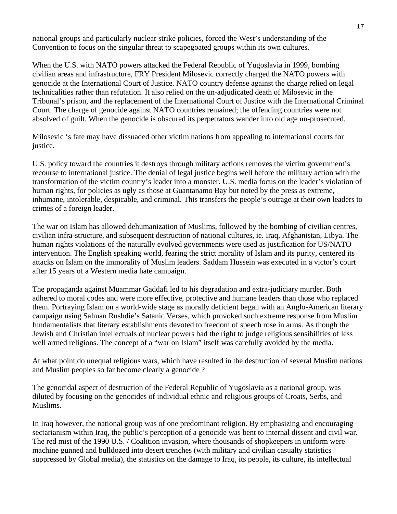national groups and particularly nuclear strike policies, forced the West's understanding of the Convention to focus on the singular threat to scapegoated groups within its own cultures.

When the U.S. with NATO powers attacked the Federal Republic of Yugoslavia in 1999, bombing civilian areas and infrastructure, FRY President Milosevic correctly charged the NATO powers with genocide at the International Court of Justice. NATO country defense against the charge relied on legal technicalities rather than refutation. It also relied on the un-adjudicated death of Milosevic in the Tribunal's prison, and the replacement of the International Court of Justice with the International Criminal Court. The charge of genocide against NATO countries remained; the offending countries were not absolved of guilt. When the genocide is obscured its perpetrators wander into old age un-prosecuted.

Milosevic 's fate may have dissuaded other victim nations from appealing to international courts for justice.

U.S. policy toward the countries it destroys through military actions removes the victim government's recourse to international justice. The denial of legal justice begins well before the military action with the transformation of the victim country's leader into a monster. U.S. media focus on the leader's violation of human rights, for policies as ugly as those at Guantanamo Bay but noted by the press as extreme, inhumane, intolerable, despicable, and criminal. This transfers the people's outrage at their own leaders to crimes of a foreign leader.

The war on Islam has allowed dehumanization of Muslims, followed by the bombing of civilian centres, civilian infra-structure, and subsequent destruction of national cultures, ie. Iraq, Afghanistan, Libya. The human rights violations of the naturally evolved governments were used as justification for US/NATO intervention. The English speaking world, fearing the strict morality of Islam and its purity, centered its attacks on Islam on the immorality of Muslim leaders. Saddam Hussein was executed in a victor's court after 15 years of a Western media hate campaign.

The propaganda against Muammar Gaddafi led to his degradation and extra-judiciary murder. Both adhered to moral codes and were more effective, protective and humane leaders than those who replaced them. Portraying Islam on a world-wide stage as morally deficient began with an Anglo-American literary campaign using Salman Rushdie's Satanic Verses, which provoked such extreme response from Muslim fundamentalists that literary establishments devoted to freedom of speech rose in arms. As though the Jewish and Christian intellectuals of nuclear powers had the right to judge religious sensibilities of less well armed religions. The concept of a "war on Islam" itself was carefully avoided by the media.

At what point do unequal religious wars, which have resulted in the destruction of several Muslim nations and Muslim peoples so far become clearly a genocide ?

The genocidal aspect of destruction of the Federal Republic of Yugoslavia as a national group, was diluted by focusing on the genocides of individual ethnic and religious groups of Croats, Serbs, and Muslims.

In Iraq however, the national group was of one predominant religion. By emphasizing and encouraging sectarianism within Iraq, the public's perception of a genocide was bent to internal dissent and civil war. The red mist of the 1990 U.S. / Coalition invasion, where thousands of shopkeepers in uniform were machine gunned and bulldozed into desert trenches (with military and civilian casualty statistics suppressed by Global media), the statistics on the damage to Iraq, its people, its culture, its intellectual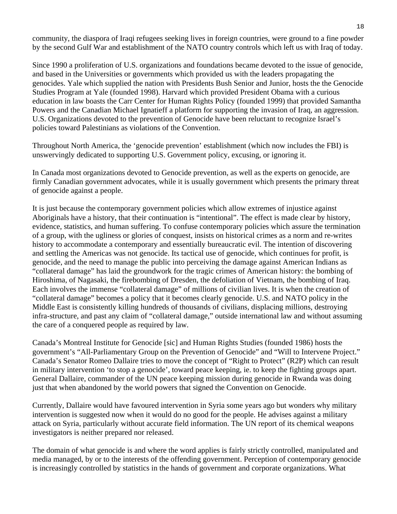community, the diaspora of Iraqi refugees seeking lives in foreign countries, were ground to a fine powder by the second Gulf War and establishment of the NATO country controls which left us with Iraq of today.

Since 1990 a proliferation of U.S. organizations and foundations became devoted to the issue of genocide, and based in the Universities or governments which provided us with the leaders propagating the genocides. Yale which supplied the nation with Presidents Bush Senior and Junior, hosts the the Genocide Studies Program at Yale (founded 1998). Harvard which provided President Obama with a curious education in law boasts the Carr Center for Human Rights Policy (founded 1999) that provided Samantha Powers and the Canadian Michael Ignatieff a platform for supporting the invasion of Iraq, an aggression. U.S. Organizations devoted to the prevention of Genocide have been reluctant to recognize Israel's policies toward Palestinians as violations of the Convention.

Throughout North America, the 'genocide prevention' establishment (which now includes the FBI) is unswervingly dedicated to supporting U.S. Government policy, excusing, or ignoring it.

In Canada most organizations devoted to Genocide prevention, as well as the experts on genocide, are firmly Canadian government advocates, while it is usually government which presents the primary threat of genocide against a people.

It is just because the contemporary government policies which allow extremes of injustice against Aboriginals have a history, that their continuation is "intentional". The effect is made clear by history, evidence, statistics, and human suffering. To confuse contemporary policies which assure the termination of a group, with the ugliness or glories of conquest, insists on historical crimes as a norm and re-writes history to accommodate a contemporary and essentially bureaucratic evil. The intention of discovering and settling the Americas was not genocide. Its tactical use of genocide, which continues for profit, is genocide, and the need to manage the public into perceiving the damage against American Indians as "collateral damage" has laid the groundwork for the tragic crimes of American history: the bombing of Hiroshima, of Nagasaki, the firebombing of Dresden, the defoliation of Vietnam, the bombing of Iraq. Each involves the immense "collateral damage" of millions of civilian lives. It is when the creation of "collateral damage" becomes a policy that it becomes clearly genocide. U.S. and NATO policy in the Middle East is consistently killing hundreds of thousands of civilians, displacing millions, destroying infra-structure, and past any claim of "collateral damage," outside international law and without assuming the care of a conquered people as required by law.

Canada's Montreal Institute for Genocide [sic] and Human Rights Studies (founded 1986) hosts the government's "All-Parliamentary Group on the Prevention of Genocide" and "Will to Intervene Project." Canada's Senator Romeo Dallaire tries to move the concept of "Right to Protect" (R2P) which can result in military intervention 'to stop a genocide', toward peace keeping, ie. to keep the fighting groups apart. General Dallaire, commander of the UN peace keeping mission during genocide in Rwanda was doing just that when abandoned by the world powers that signed the Convention on Genocide.

Currently, Dallaire would have favoured intervention in Syria some years ago but wonders why military intervention is suggested now when it would do no good for the people. He advises against a military attack on Syria, particularly without accurate field information. The UN report of its chemical weapons investigators is neither prepared nor released.

The domain of what genocide is and where the word applies is fairly strictly controlled, manipulated and media managed, by or to the interests of the offending government. Perception of contemporary genocide is increasingly controlled by statistics in the hands of government and corporate organizations. What